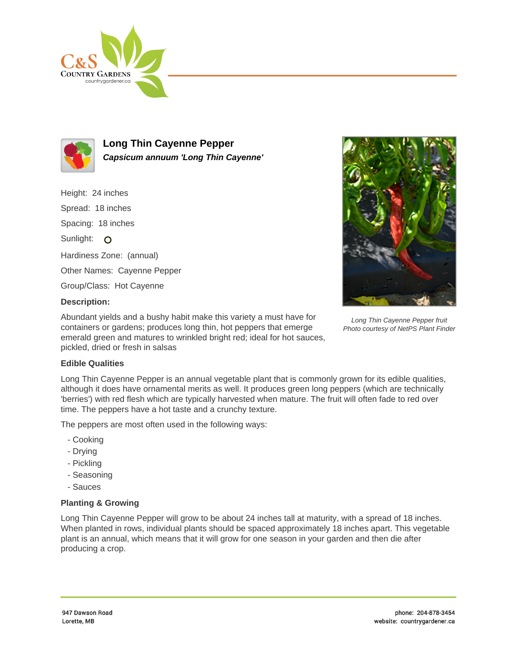



**Long Thin Cayenne Pepper Capsicum annuum 'Long Thin Cayenne'**

Height: 24 inches Spread: 18 inches Spacing: 18 inches Sunlight: O Hardiness Zone: (annual) Other Names: Cayenne Pepper Group/Class: Hot Cayenne **Description:**



Abundant yields and a bushy habit make this variety a must have for containers or gardens; produces long thin, hot peppers that emerge emerald green and matures to wrinkled bright red; ideal for hot sauces, pickled, dried or fresh in salsas

Long Thin Cayenne Pepper fruit Photo courtesy of NetPS Plant Finder

## **Edible Qualities**

Long Thin Cayenne Pepper is an annual vegetable plant that is commonly grown for its edible qualities, although it does have ornamental merits as well. It produces green long peppers (which are technically 'berries') with red flesh which are typically harvested when mature. The fruit will often fade to red over time. The peppers have a hot taste and a crunchy texture.

The peppers are most often used in the following ways:

- Cooking
- Drying
- Pickling
- Seasoning
- Sauces

## **Planting & Growing**

Long Thin Cayenne Pepper will grow to be about 24 inches tall at maturity, with a spread of 18 inches. When planted in rows, individual plants should be spaced approximately 18 inches apart. This vegetable plant is an annual, which means that it will grow for one season in your garden and then die after producing a crop.